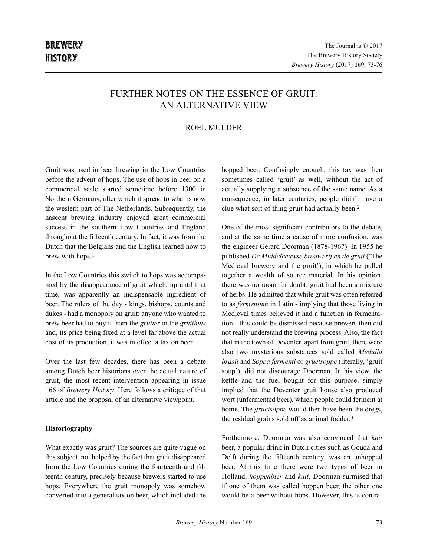# FURTHER NOTES ON THE ESSENCE OF GRUIT-AN ALTERNATIVE VIEW

## ROEL MULDER

Gruit was used in beer brewing in the Low Countries before the advent of hops. The use of hops in beer on a commercial scale started sometime before 1300 in Northern Germany, after which it spread to what is now the western part of The Netherlands. Subsequently, the nascent brewing industry enjoyed great commercial success in the southern Low Countries and England throughout the fifteenth century. In fact, it was from the Dutch that the Belgians and the English learned how to brew with hops.<sup>1</sup>

In the Low Countries this switch to hops was accompanied by the disappearance of gruit which, up until that time, was apparently an indispensable ingredient of beer. The rulers of the day - kings, bishops, counts and dukes - had a monopoly on gruit: anyone who wanted to brew beer had to buy it from the *gruiter* in the *gruithuis* and, its price being fixed at a level far above the actual cost of its production, it was in effect a tax on beer.

Over the last few decades, there has been a debate among Dutch beer historians over the actual nature of gruit, the most recent intervention appearing in issue 166 of *Brewery History*. Here follows a critique of that article and the proposal of an alternative viewpoint.

## **Historiography**

What exactly was gruit? The sources are quite vague on this subject, not helped by the fact that gruit disappeared from the Low Countries during the fourteenth and fifteenth century, precisely because brewers started to use hops. Everywhere the gruit monopoly was somehow converted into a general tax on beer, which included the

hopped beer. Confusingly enough, this tax was then sometimes called 'gruit' as well, without the act of actually supplying a substance of the same name. As a consequence, in later centuries, people didn't have a clue what sort of thing gruit had actually been.2

One of the most significant contributors to the debate, and at the same time a cause of more confusion, was the engineer Gerard Doorman (1878-1967). In 1955 he published *De Middeleeuwse brouwerij en de gruit* ('The Medieval brewery and the gruit'), in which he pulled together a wealth of source material. In his opinion, there was no room for doubt: gruit had been a mixture of herbs. He admitted that while gruit was often referred to as *fermentum* in Latin - implying that those living in Medieval times believed it had a function in fermentation - this could be dismissed because brewers then did not really understand the brewing process. Also, the fact that in the town of Deventer, apart from gruit, there were also two mysterious substances sold called *Medulla brasii* and *Soppa fermenti* or *gruetsoppe* (literally, 'gruit soup'), did not discourage Doorman. In his view, the kettle and the fuel bought for this purpose, simply implied that the Deventer gruit house also produced wort (unfermented beer), which people could ferment at home. The *gruetsoppe* would then have been the dregs, the residual grains sold off as animal fodder. 3

Furthermore, Doorman was also convinced that *kuit* beer, a popular drink in Dutch cities such as Gouda and Delft during the fifteenth century, was an unhopped beer. At this time there were two types of beer in Holland, *hoppenbier* and *kuit*. Doorman surmised that if one of them was called hoppen beer, the other one would be a beer without hops. However, this is contra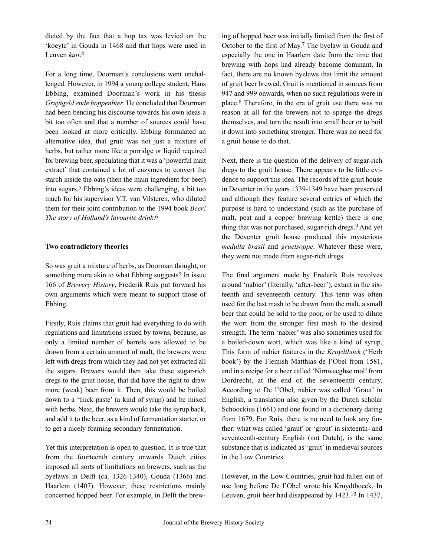dicted by the fact that a hop tax was levied on the 'koeyte' in Gouda in 1468 and that hops were used in Leuven *kuit*. 4

For a long time, Doorman's conclusions went unchallenged. However, in 1994 a young college student, Hans Ebbing, examined Doorman's work in his thesis *Gruytgeld ende hoppenbier*. He concluded that Doorman had been bending his discourse towards his own ideas a bit too often and that a number of sources could have been looked at more critically. Ebbing formulated an alternative idea, that gruit was not just a mixture of herbs, but rather more like a porridge or liquid required for brewing beer, speculating that it was a 'powerful malt extract' that contained a lot of enzymes to convert the starch inside the oats (then the main ingredient for beer) into sugars.5 Ebbing's ideas were challenging, a bit too much for his supervisor V.T. van Vilsteren, who diluted them for their joint contribution to the 1994 book *Beer! The story of Holland's favourite drink*. 6

## **Two contradictory theories**

So was gruit a mixture of herbs, as Doorman thought, or something more akin to what Ebbing suggests? In issue 166 of *Brewery History*, Frederik Ruis put forward his own arguments which were meant to support those of Ebbing.

Firstly, Ruis claims that gruit had everything to do with regulations and limitations issued by towns, because, as only a limited number of barrels was allowed to be drawn from a certain amount of malt, the brewers were left with dregs from which they had not yet extracted all the sugars. Brewers would then take these sugar-rich dregs to the gruit house, that did have the right to draw more (weak) beer from it. Then, this would be boiled down to a 'thick paste' (a kind of syrup) and be mixed with herbs. Next, the brewers would take the syrup back, and add it to the beer, as a kind of fermentation starter, or to get a nicely foaming secondary fermentation.

Yet this interpretation is open to question. It is true that from the fourteenth century onwards Dutch cities imposed all sorts of limitations on brewers, such as the byelaws in Delft (ca. 1326-1340), Gouda (1366) and Haarlem (1407). However, these restrictions mainly concerned hopped beer. For example, in Delft the brew-

ing of hopped beer was initially limited from the first of October to the first of May. 7 The byelaw in Gouda and especially the one in Haarlem date from the time that brewing with hops had already become dominant. In fact, there are no known byelaws that limit the amount of gruit beer brewed. Gruit is mentioned in sources from 947 and 999 onwards, when no such regulations were in place.8 Therefore, in the era of gruit use there was no reason at all for the brewers not to sparge the dregs themselves, and turn the result into small beer or to boil it down into something stronger. There was no need for a gruit house to do that.

Next, there is the question of the delivery of sugar-rich dregs to the gruit house. There appears to be little evidence to support this idea. The records of the gruit house in Deventer in the years 1339-1349 have been preserved and although they feature several entries of which the purpose is hard to understand (such as the purchase of malt, peat and a copper brewing kettle) there is one thing that was not purchased, sugar-rich dregs.9 And yet the Deventer gruit house produced this mysterious *medulla brasii* and *gruetsoppe*. Whatever these were, they were not made from sugar-rich dregs.

The final argument made by Frederik Ruis revolves around 'nabier' (literally, 'after-beer'), extant in the sixteenth and seventeenth century. This term was often used for the last mash to be drawn from the malt, a small beer that could be sold to the poor, or be used to dilute the wort from the stronger first mash to the desired strength. The term 'nabier' was also sometimes used for a boiled-down wort, which was like a kind of syrup. This form of nabier features in the *Kruydtboek* ('Herb book') by the Flemish Matthias de l'Obel from 1581, and in a recipe for a beer called 'Nimweeghse mol'from Dordrecht, at the end of the seventeenth century. According to De l'Obel, nabier was called 'Graut' in English, a translation also given by the Dutch scholar Schoockius (1661) and one found in a dictionary dating from 1679. For Ruis, there is no need to look any further: what was called 'graut' or 'grout' in sixteenth- and seventeenth-century English (not Dutch), is the same substance that is indicated as 'gruit' in medieval sources in the Low Countries.

However, in the Low Countries, gruit had fallen out of use long before De l'Obel wrote his Kruydtboeck. In Leuven, gruit beer had disappeared by 1423.10 In 1437,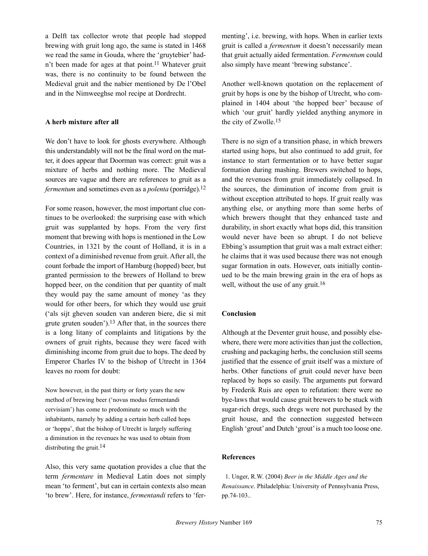a Delft tax collector wrote that people had stopped brewing with gruit long ago, the same is stated in 1468 we read the same in Gouda, where the 'gruytebier' hadn't been made for ages at that point.<sup>11</sup> Whatever gruit was, there is no continuity to be found between the Medieval gruit and the nabier mentioned by De l'Obel and in the Nimweeghse mol recipe at Dordrecht.

#### **A herb mixture after all**

We don't have to look for ghosts everywhere. Although this understandably will not be the final word on the matter, it does appear that Doorman was correct: gruit was a mixture of herbs and nothing more. The Medieval sources are vague and there are references to gruit as a *fermentum* and sometimes even as a *polenta* (porridge).<sup>12</sup>

For some reason, however, the most important clue continues to be overlooked: the surprising ease with which gruit was supplanted by hops. From the very first moment that brewing with hops is mentioned in the Low Countries, in 1321 by the count of Holland, it is in a context of a diminished revenue from gruit. After all, the count forbade the import of Hamburg (hopped) beer, but granted permission to the brewers of Holland to brew hopped beer, on the condition that per quantity of malt they would pay the same amount of money 'as they would for other beers, for which they would use gruit ('als sijt gheven souden van anderen biere, die si mit grute gruten souden').<sup>13</sup> After that, in the sources there is a long litany of complaints and litigations by the owners of gruit rights, because they were faced with diminishing income from gruit due to hops. The deed by Emperor Charles IV to the bishop of Utrecht in 1364 leaves no room for doubt:

Now however, in the past thirty or forty years the new method of brewing beer ('novus modus fermentandi cervisiam') has come to predominate so much with the inhabitants, namely by adding a certain herb called hops or 'hoppa', that the bishop of Utrecht is largely suffering a diminution in the revenues he was used to obtain from distributing the gruit.<sup>14</sup>

Also, this very same quotation provides a clue that the term *fermentare* in Medieval Latin does not simply mean 'to ferment', but can in certain contexts also mean 'to brew'. Here, for instance, *fermentandi* refers to 'fermenting', i.e. brewing, with hops. When in earlier texts gruit is called a *fermentum* it doesn't necessarily mean that gruit actually aided fermentation. *Fermentum* could also simply have meant 'brewing substance'.

Another well-known quotation on the replacement of gruit by hops is one by the bishop of Utrecht, who complained in 1404 about 'the hopped beer' because of which 'our gruit' hardly yielded anything anymore in the city of Zwolle.15

There is no sign of a transition phase, in which brewers started using hops, but also continued to add gruit, for instance to start fermentation or to have better sugar formation during mashing. Brewers switched to hops, and the revenues from gruit immediately collapsed. In the sources, the diminution of income from gruit is without exception attributed to hops. If gruit really was anything else, or anything more than some herbs of which brewers thought that they enhanced taste and durability, in short exactly what hops did, this transition would never have been so abrupt. I do not believe Ebbing's assumption that gruit was a malt extract either: he claims that it was used because there was not enough sugar formation in oats. However, oats initially continued to be the main brewing grain in the era of hops as well, without the use of any gruit.<sup>16</sup>

### **Conclusion**

Although at the Deventer gruit house, and possibly elsewhere, there were more activities than just the collection, crushing and packaging herbs, the conclusion still seems justified that the essence of gruit itself was a mixture of herbs. Other functions of gruit could never have been replaced by hops so easily. The arguments put forward by Frederik Ruis are open to refutation: there were no bye-laws that would cause gruit brewers to be stuck with sugar-rich dregs, such dregs were not purchased by the gruit house, and the connection suggested between English 'grout' and Dutch 'grout'is a much too loose one.

#### **References**

1. Unger, R.W. (2004) *Beer in the Middle Ages and the Renaissance*. Philadelphia: University of Pennsylvania Press, pp.74-103..